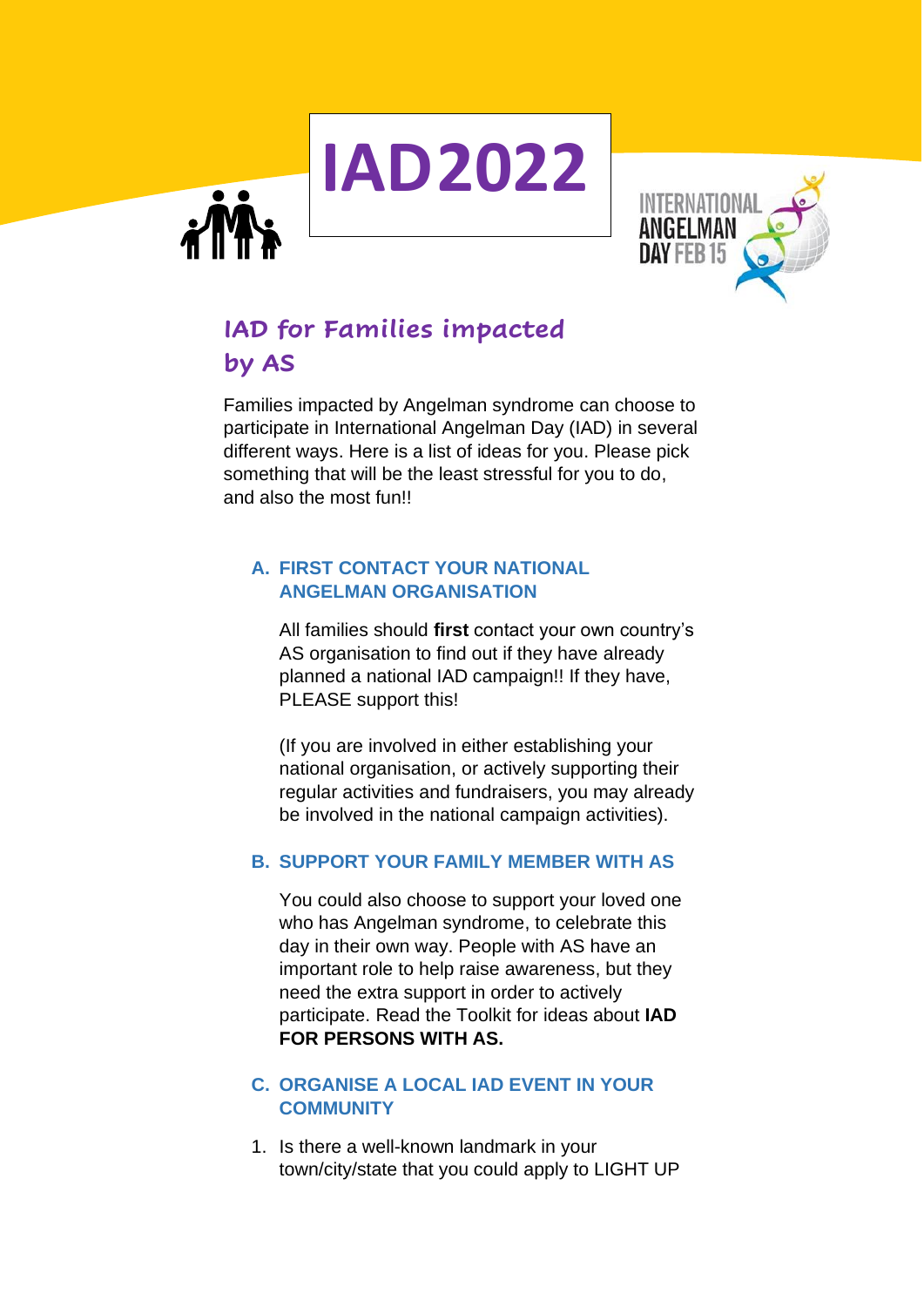

# **IAD for Families impacted by AS**

Families impacted by Angelman syndrome can choose to participate in International Angelman Day (IAD) in several different ways. Here is a list of ideas for you. Please pick something that will be the least stressful for you to do, and also the most fun!!

**IAD2022**

### **A. FIRST CONTACT YOUR NATIONAL ANGELMAN ORGANISATION**

All families should **first** contact your own country's AS organisation to find out if they have already planned a national IAD campaign!! If they have, PLEASE support this!

(If you are involved in either establishing your national organisation, or actively supporting their regular activities and fundraisers, you may already be involved in the national campaign activities).

## **B. SUPPORT YOUR FAMILY MEMBER WITH AS**

You could also choose to support your loved one who has Angelman syndrome, to celebrate this day in their own way. People with AS have an important role to help raise awareness, but they need the extra support in order to actively participate. Read the Toolkit for ideas about **IAD FOR PERSONS WITH AS.** 

#### **C. ORGANISE A LOCAL IAD EVENT IN YOUR COMMUNITY**

1. Is there a well-known landmark in your town/city/state that you could apply to LIGHT UP